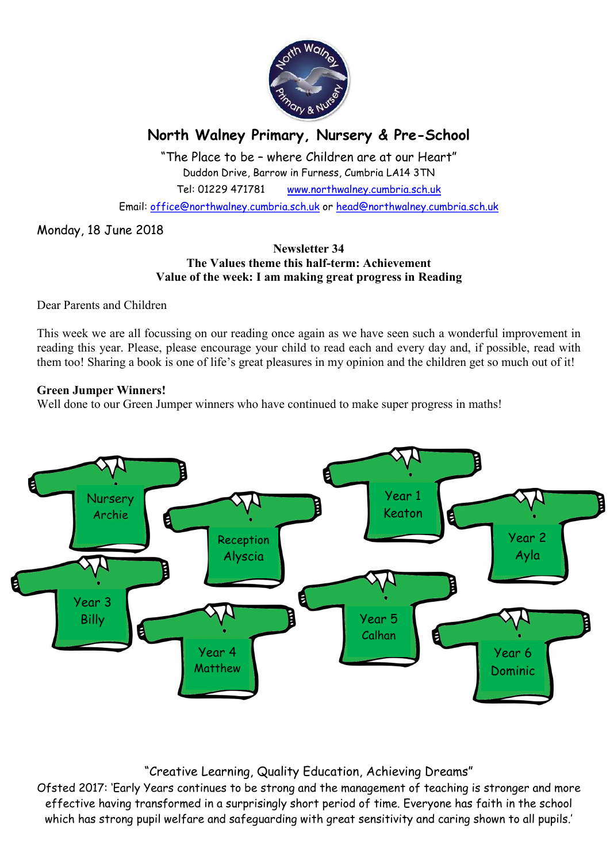

# North Walney Primary, Nursery & Pre-School

"The Place to be – where Children are at our Heart" Duddon Drive, Barrow in Furness, Cumbria LA14 3TN Tel: 01229 471781 www.northwalney.cumbria.sch.uk

Email: office@northwalney.cumbria.sch.uk or head@northwalney.cumbria.sch.uk

## Monday, 18 June 2018

#### Newsletter 34 The Values theme this half-term: Achievement Value of the week: I am making great progress in Reading

Dear Parents and Children

This week we are all focussing on our reading once again as we have seen such a wonderful improvement in reading this year. Please, please encourage your child to read each and every day and, if possible, read with them too! Sharing a book is one of life's great pleasures in my opinion and the children get so much out of it!

#### Green Jumper Winners!

Well done to our Green Jumper winners who have continued to make super progress in maths!



# "Creative Learning, Quality Education, Achieving Dreams"

Ofsted 2017: 'Early Years continues to be strong and the management of teaching is stronger and more effective having transformed in a surprisingly short period of time. Everyone has faith in the school which has strong pupil welfare and safeguarding with great sensitivity and caring shown to all pupils.'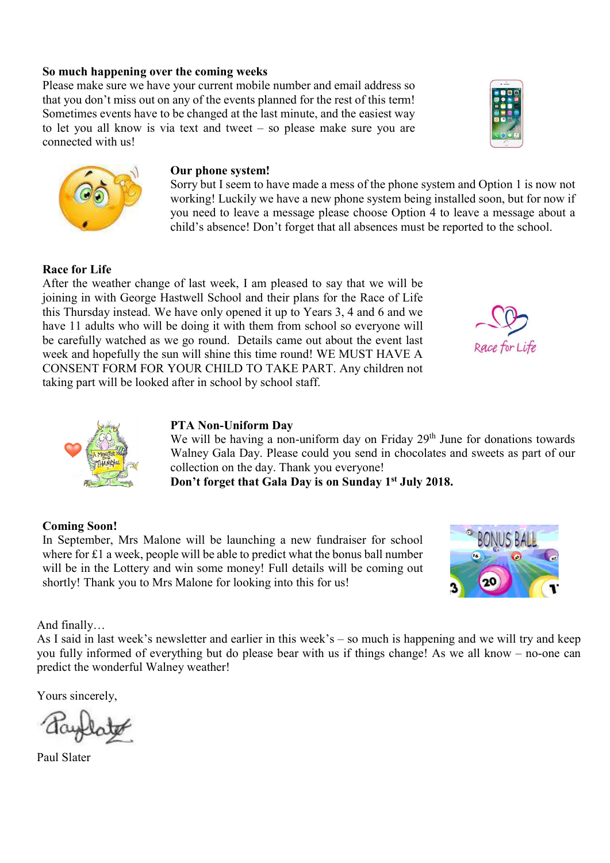#### So much happening over the coming weeks

Please make sure we have your current mobile number and email address so that you don't miss out on any of the events planned for the rest of this term! Sometimes events have to be changed at the last minute, and the easiest way to let you all know is via text and tweet – so please make sure you are connected with us!



#### Our phone system!

Sorry but I seem to have made a mess of the phone system and Option 1 is now not working! Luckily we have a new phone system being installed soon, but for now if you need to leave a message please choose Option 4 to leave a message about a child's absence! Don't forget that all absences must be reported to the school.

#### Race for Life

After the weather change of last week, I am pleased to say that we will be joining in with George Hastwell School and their plans for the Race of Life this Thursday instead. We have only opened it up to Years 3, 4 and 6 and we have 11 adults who will be doing it with them from school so everyone will be carefully watched as we go round. Details came out about the event last week and hopefully the sun will shine this time round! WE MUST HAVE A CONSENT FORM FOR YOUR CHILD TO TAKE PART. Any children not taking part will be looked after in school by school staff.





#### PTA Non-Uniform Day

We will be having a non-uniform day on Friday  $29<sup>th</sup>$  June for donations towards Walney Gala Day. Please could you send in chocolates and sweets as part of our collection on the day. Thank you everyone!

Don't forget that Gala Day is on Sunday 1<sup>st</sup> July 2018.

#### Coming Soon!

In September, Mrs Malone will be launching a new fundraiser for school where for £1 a week, people will be able to predict what the bonus ball number will be in the Lottery and win some money! Full details will be coming out shortly! Thank you to Mrs Malone for looking into this for us!



And finally…

As I said in last week's newsletter and earlier in this week's – so much is happening and we will try and keep you fully informed of everything but do please bear with us if things change! As we all know – no-one can predict the wonderful Walney weather!

Yours sincerely,

Paul Slater